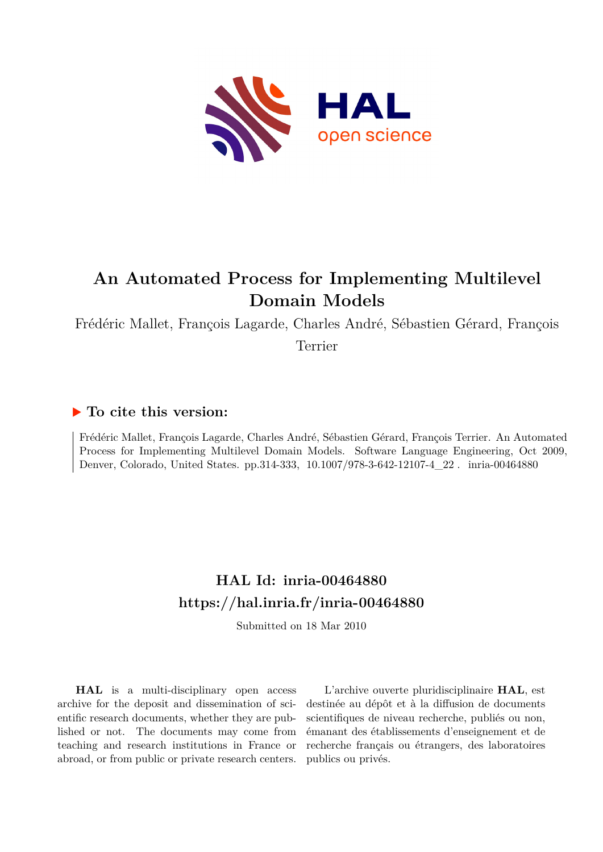

# **An Automated Process for Implementing Multilevel Domain Models**

Frédéric Mallet, François Lagarde, Charles André, Sébastien Gérard, François

Terrier

# **To cite this version:**

Frédéric Mallet, François Lagarde, Charles André, Sébastien Gérard, François Terrier. An Automated Process for Implementing Multilevel Domain Models. Software Language Engineering, Oct 2009, Denver, Colorado, United States. pp.314-333, 10.1007/978-3-642-12107-4\_22. inria-00464880

# **HAL Id: inria-00464880 <https://hal.inria.fr/inria-00464880>**

Submitted on 18 Mar 2010

**HAL** is a multi-disciplinary open access archive for the deposit and dissemination of scientific research documents, whether they are published or not. The documents may come from teaching and research institutions in France or abroad, or from public or private research centers.

L'archive ouverte pluridisciplinaire **HAL**, est destinée au dépôt et à la diffusion de documents scientifiques de niveau recherche, publiés ou non, émanant des établissements d'enseignement et de recherche français ou étrangers, des laboratoires publics ou privés.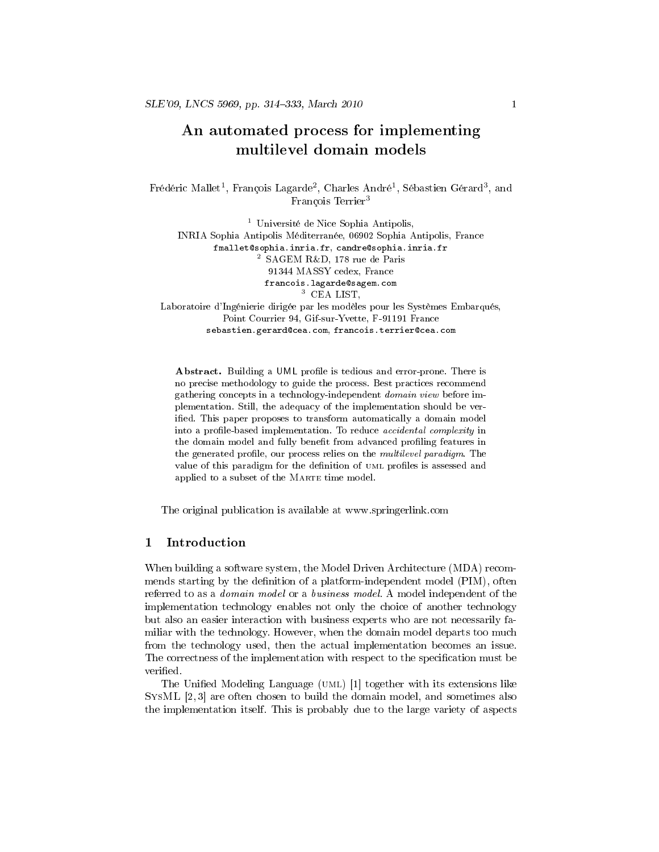# An automated process for implementing multilevel domain models

Frédéric Mallet<sup>1</sup>, François Lagarde<sup>2</sup>, Charles André<sup>1</sup>, Sébastien Gérard<sup>3</sup>, and François Terrier<sup>3</sup>

<sup>1</sup> Université de Nice Sophia Antipolis, INRIA Sophia Antipolis Méditerranée, 06902 Sophia Antipolis, France fmallet@sophia.inria.fr, candre@sophia.inria.fr <sup>2</sup> SAGEM R&D, 178 rue de Paris 91344 MASSY cedex, France francois.lagarde@sagem.com <sup>3</sup> CEA LIST, Laboratoire d'Ingénierie dirigée par les modèles pour les Systèmes Embarqués, Point Courrier 94, Gif-sur-Yvette, F-91191 France sebastien.gerard@cea.com, francois.terrier@cea.com

Abstract. Building a UML profile is tedious and error-prone. There is no precise methodology to guide the process. Best practices recommend gathering concepts in a technology-independent domain view before implementation. Still, the adequacy of the implementation should be verified. This paper proposes to transform automatically a domain model into a profile-based implementation. To reduce *accidental complexity* in the domain model and fully benefit from advanced profiling features in the generated profile, our process relies on the *multilevel paradigm*. The value of this paradigm for the definition of UML profiles is assessed and applied to a subset of the MARTE time model.

The original publication is available at www.springerlink.com

## 1 Introduction

When building a software system, the Model Driven Architecture (MDA) recommends starting by the definition of a platform-independent model (PIM), often referred to as a domain model or a business model. A model independent of the implementation technology enables not only the choice of another technology but also an easier interaction with business experts who are not necessarily familiar with the technology. However, when the domain model departs too much from the technology used, then the actual implementation becomes an issue. The correctness of the implementation with respect to the specification must be verified.

The Unified Modeling Language (UML)  $[1]$  together with its extensions like SysML [2, 3] are often chosen to build the domain model, and sometimes also the implementation itself. This is probably due to the large variety of aspects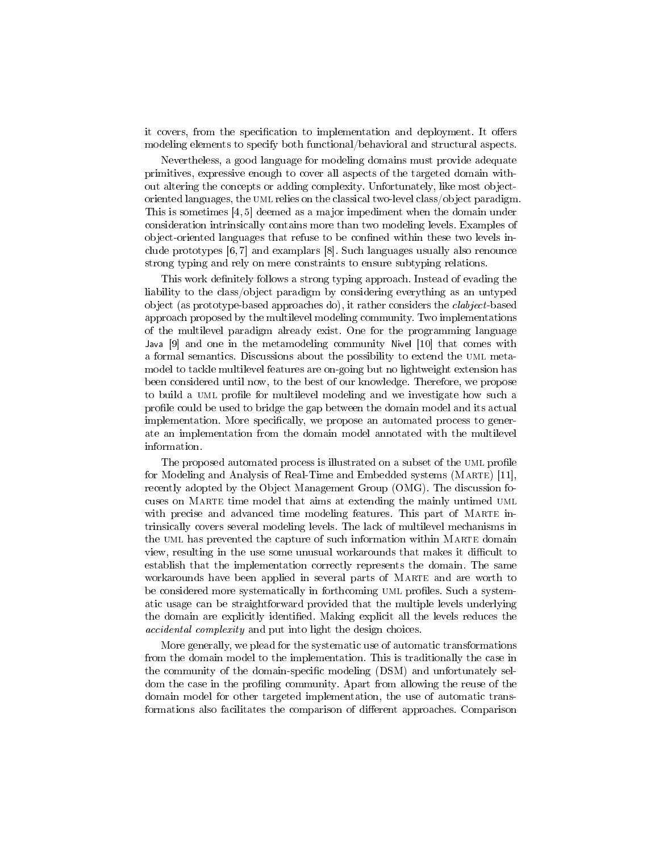it covers, from the specification to implementation and deployment. It offers modeling elements to specify both functional/behavioral and structural aspects.

Nevertheless, a good language for modeling domains must provide adequate primitives, expressive enough to cover all aspects of the targeted domain without altering the concepts or adding complexity. Unfortunately, like most objectoriented languages, the uml relies on the classical two-level class/object paradigm. This is sometimes [4, 5] deemed as a major impediment when the domain under consideration intrinsically contains more than two modeling levels. Examples of object-oriented languages that refuse to be confined within these two levels include prototypes [6, 7] and examplars [8]. Such languages usually also renounce strong typing and rely on mere constraints to ensure subtyping relations.

This work definitely follows a strong typing approach. Instead of evading the liability to the class/object paradigm by considering everything as an untyped object (as prototype-based approaches do), it rather considers the clabject-based approach proposed by the multilevel modeling community. Two implementations of the multilevel paradigm already exist. One for the programming language Java [9] and one in the metamodeling community Nivel [10] that comes with a formal semantics. Discussions about the possibility to extend the uml metamodel to tackle multilevel features are on-going but no lightweight extension has been considered until now, to the best of our knowledge. Therefore, we propose to build a UML profile for multilevel modeling and we investigate how such a profile could be used to bridge the gap between the domain model and its actual implementation. More specifically, we propose an automated process to generate an implementation from the domain model annotated with the multilevel information.

The proposed automated process is illustrated on a subset of the UML profile for Modeling and Analysis of Real-Time and Embedded systems (Marte) [11], recently adopted by the Object Management Group (OMG). The discussion focuses on Marte time model that aims at extending the mainly untimed uml with precise and advanced time modeling features. This part of MARTE intrinsically covers several modeling levels. The lack of multilevel mechanisms in the uml has prevented the capture of such information within Marte domain view, resulting in the use some unusual workarounds that makes it difficult to establish that the implementation correctly represents the domain. The same workarounds have been applied in several parts of Marte and are worth to be considered more systematically in forthcoming UML profiles. Such a systematic usage can be straightforward provided that the multiple levels underlying the domain are explicitly identified. Making explicit all the levels reduces the accidental complexity and put into light the design choices.

More generally, we plead for the systematic use of automatic transformations from the domain model to the implementation. This is traditionally the case in the community of the domain-specific modeling (DSM) and unfortunately seldom the case in the profiling community. Apart from allowing the reuse of the domain model for other targeted implementation, the use of automatic transformations also facilitates the comparison of different approaches. Comparison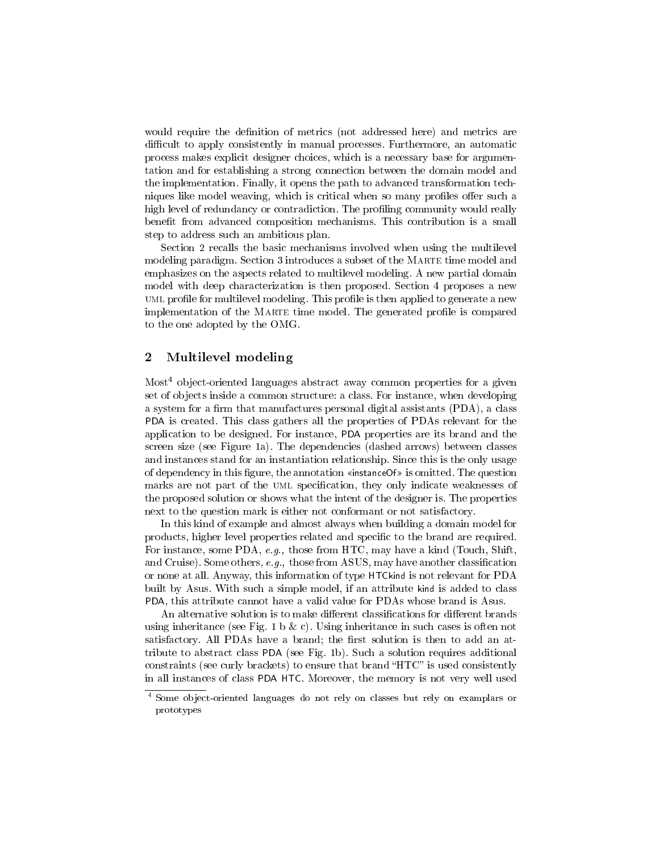would require the definition of metrics (not addressed here) and metrics are difficult to apply consistently in manual processes. Furthermore, an automatic process makes explicit designer choices, which is a necessary base for argumentation and for establishing a strong connection between the domain model and the implementation. Finally, it opens the path to advanced transformation techniques like model weaving, which is critical when so many profiles offer such a high level of redundancy or contradiction. The profiling community would really benefit from advanced composition mechanisms. This contribution is a small step to address such an ambitious plan.

Section 2 recalls the basic mechanisms involved when using the multilevel modeling paradigm. Section 3 introduces a subset of the MARTE time model and emphasizes on the aspects related to multilevel modeling. A new partial domain model with deep characterization is then proposed. Section 4 proposes a new um profile for multilevel modeling. This profile is then applied to generate a new implementation of the MARTE time model. The generated profile is compared to the one adopted by the OMG.

## 2 Multilevel modeling

Most<sup>4</sup> object-oriented languages abstract away common properties for a given set of objects inside a common structure: a class. For instance, when developing a system for a firm that manufactures personal digital assistants (PDA), a class PDA is created. This class gathers all the properties of PDAs relevant for the application to be designed. For instance, PDA properties are its brand and the screen size (see Figure 1a). The dependencies (dashed arrows) between classes and instances stand for an instantiation relationship. Since this is the only usage of dependency in this figure, the annotation «instanceOf» is omitted. The question marks are not part of the UML specification, they only indicate weaknesses of the proposed solution or shows what the intent of the designer is. The properties next to the question mark is either not conformant or not satisfactory.

In this kind of example and almost always when building a domain model for products, higher level properties related and specific to the brand are required. For instance, some PDA, e.g., those from HTC, may have a kind (Touch, Shift, and Cruise). Some others,  $e.g.,$  those from ASUS, may have another classification or none at all. Anyway, this information of type HTCkind is not relevant for PDA built by Asus. With such a simple model, if an attribute kind is added to class PDA, this attribute cannot have a valid value for PDAs whose brand is Asus.

An alternative solution is to make different classifications for different brands using inheritance (see Fig. 1 b & c). Using inheritance in such cases is often not satisfactory. All PDAs have a brand; the first solution is then to add an attribute to abstract class PDA (see Fig. 1b). Such a solution requires additional constraints (see curly brackets) to ensure that brand " $HTC$ " is used consistently in all instances of class PDA HTC. Moreover, the memory is not very well used

<sup>4</sup> Some object-oriented languages do not rely on classes but rely on examplars or prototypes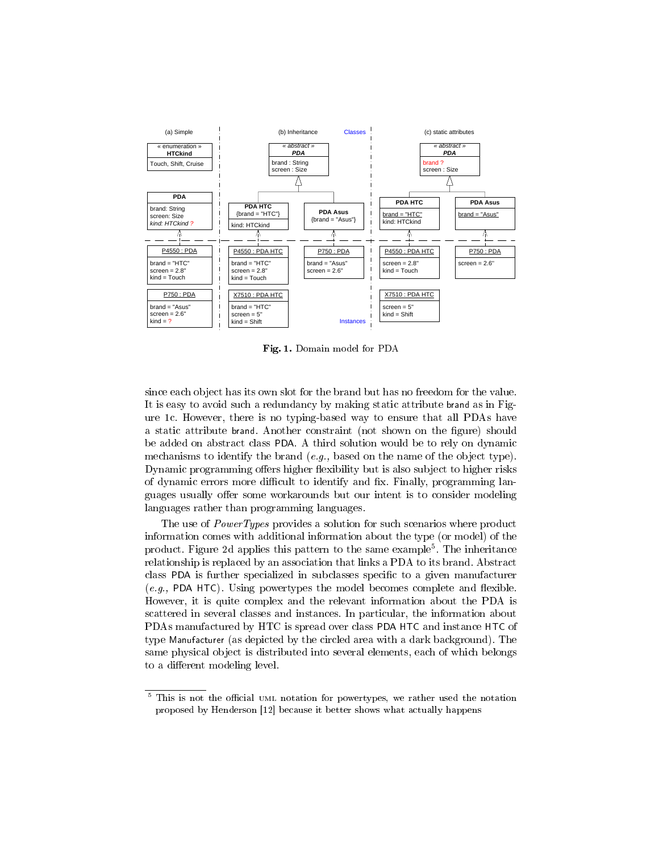

Fig. 1. Domain model for PDA

since each object has its own slot for the brand but has no freedom for the value. It is easy to avoid such a redundancy by making static attribute brand as in Figure 1c. However, there is no typing-based way to ensure that all PDAs have a static attribute brand. Another constraint (not shown on the figure) should be added on abstract class PDA. A third solution would be to rely on dynamic mechanisms to identify the brand  $(e.g.,$  based on the name of the object type). Dynamic programming offers higher flexibility but is also subject to higher risks of dynamic errors more difficult to identify and fix. Finally, programming languages usually offer some workarounds but our intent is to consider modeling languages rather than programming languages.

The use of *PowerTypes* provides a solution for such scenarios where product information comes with additional information about the type (or model) of the product. Figure 2d applies this pattern to the same example<sup>5</sup>. The inheritance relationship is replaced by an association that links a PDA to its brand. Abstract class PDA is further specialized in subclasses specific to a given manufacturer  $(e.g., PDA HTC)$ . Using powertypes the model becomes complete and flexible. However, it is quite complex and the relevant information about the PDA is scattered in several classes and instances. In particular, the information about PDAs manufactured by HTC is spread over class PDA HTC and instance HTC of type Manufacturer (as depicted by the circled area with a dark background). The same physical object is distributed into several elements, each of which belongs to a different modeling level.

 $5$  This is not the official UML notation for powertypes, we rather used the notation proposed by Henderson [12] because it better shows what actually happens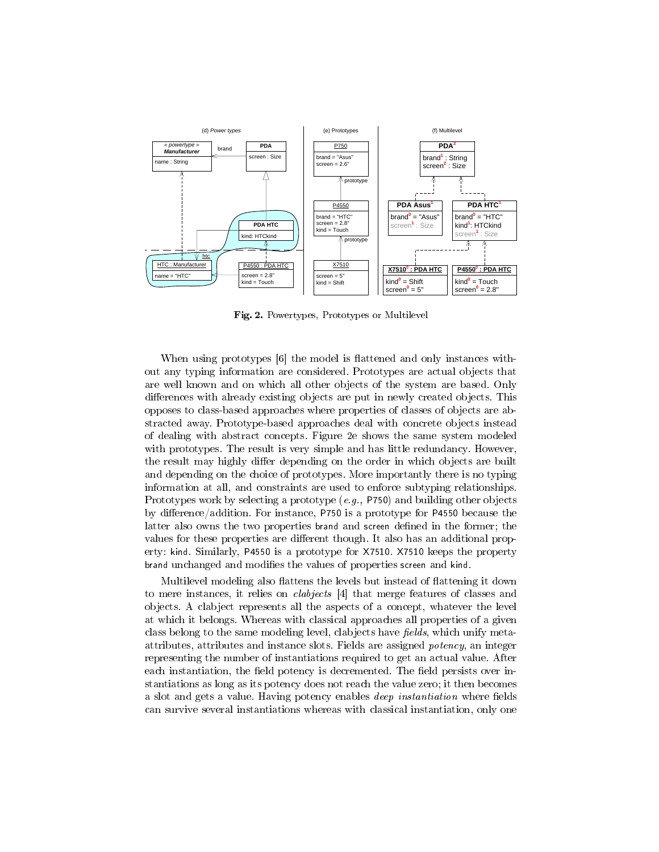

Fig. 2. Powertypes, Prototypes or Multilevel

When using prototypes [6] the model is flattened and only instances without any typing information are considered. Prototypes are actual objects that are well known and on which all other objects of the system are based. Only differences with already existing objects are put in newly created objects. This opposes to class-based approaches where properties of classes of objects are abstracted away. Prototype-based approaches deal with concrete objects instead of dealing with abstract concepts. Figure 2e shows the same system modeled with prototypes. The result is very simple and has little redundancy. However, the result may highly differ depending on the order in which objects are built and depending on the choice of prototypes. More importantly there is no typing information at all, and constraints are used to enforce subtyping relationships. Prototypes work by selecting a prototype  $(e.g., P750)$  and building other objects by difference/addition. For instance,  $P750$  is a prototype for  $P4550$  because the latter also owns the two properties brand and screen defined in the former; the values for these properties are different though. It also has an additional property: kind. Similarly, P4550 is a prototype for X7510. X7510 keeps the property brand unchanged and modifies the values of properties screen and kind.

Multilevel modeling also flattens the levels but instead of flattening it down to mere instances, it relies on *clabjects* [4] that merge features of classes and objects. A clabject represents all the aspects of a concept, whatever the level at which it belongs. Whereas with classical approaches all properties of a given class belong to the same modeling level, clabjects have fields, which unify metaattributes, attributes and instance slots. Fields are assigned potency, an integer representing the number of instantiations required to get an actual value. After each instantiation, the field potency is decremented. The field persists over instantiations as long as its potency does not reach the value zero; it then becomes a slot and gets a value. Having potency enables *deep instantiation* where fields can survive several instantiations whereas with classical instantiation, only one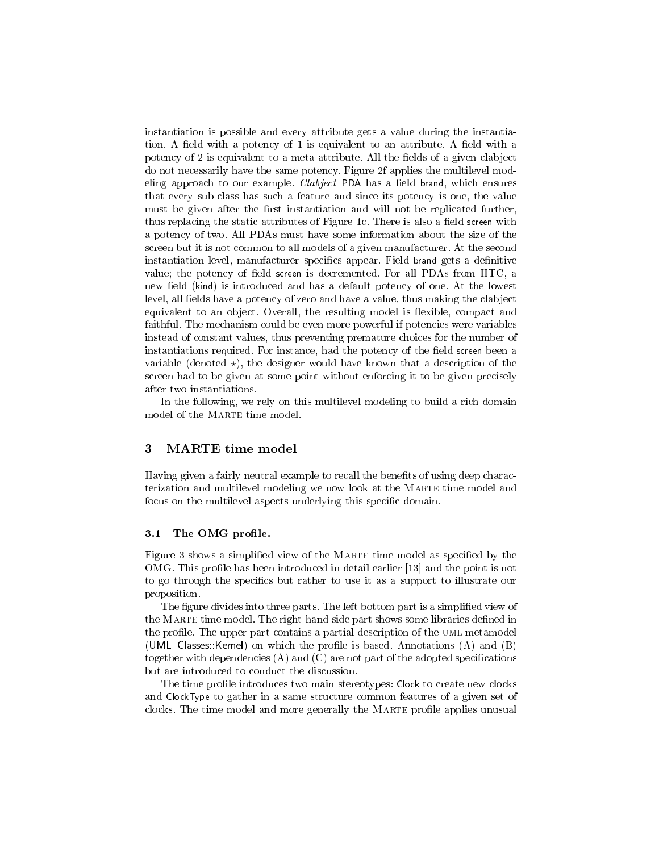instantiation is possible and every attribute gets a value during the instantiation. A field with a potency of 1 is equivalent to an attribute. A field with a potency of 2 is equivalent to a meta-attribute. All the fields of a given clabject do not necessarily have the same potency. Figure 2f applies the multilevel modeling approach to our example. Clabject PDA has a field brand, which ensures that every sub-class has such a feature and since its potency is one, the value must be given after the first instantiation and will not be replicated further, thus replacing the static attributes of Figure 1c. There is also a field screen with a potency of two. All PDAs must have some information about the size of the screen but it is not common to all models of a given manufacturer. At the second instantiation level, manufacturer specifics appear. Field brand gets a definitive value; the potency of field screen is decremented. For all PDAs from HTC, a new field (kind) is introduced and has a default potency of one. At the lowest level, all fields have a potency of zero and have a value, thus making the clabject equivalent to an object. Overall, the resulting model is flexible, compact and faithful. The mechanism could be even more powerful if potencies were variables instead of constant values, thus preventing premature choices for the number of instantiations required. For instance, had the potency of the field screen been a variable (denoted  $\star$ ), the designer would have known that a description of the screen had to be given at some point without enforcing it to be given precisely after two instantiations.

In the following, we rely on this multilevel modeling to build a rich domain model of the MARTE time model.

#### 3 MARTE time model

Having given a fairly neutral example to recall the benefits of using deep characterization and multilevel modeling we now look at the Marte time model and focus on the multilevel aspects underlying this specific domain.

#### 3.1 The OMG profile.

Figure 3 shows a simplified view of the MARTE time model as specified by the OMG. This profile has been introduced in detail earlier [13] and the point is not to go through the specifics but rather to use it as a support to illustrate our proposition.

The figure divides into three parts. The left bottom part is a simplified view of the MARTE time model. The right-hand side part shows some libraries defined in the profile. The upper part contains a partial description of the UML metamodel  $(UML::Classes::Kernel)$  on which the profile is based. Annotations  $(A)$  and  $(B)$ together with dependencies  $(A)$  and  $(C)$  are not part of the adopted specifications but are introduced to conduct the discussion.

The time profile introduces two main stereotypes: Clock to create new clocks and ClockType to gather in a same structure common features of a given set of clocks. The time model and more generally the MARTE profile applies unusual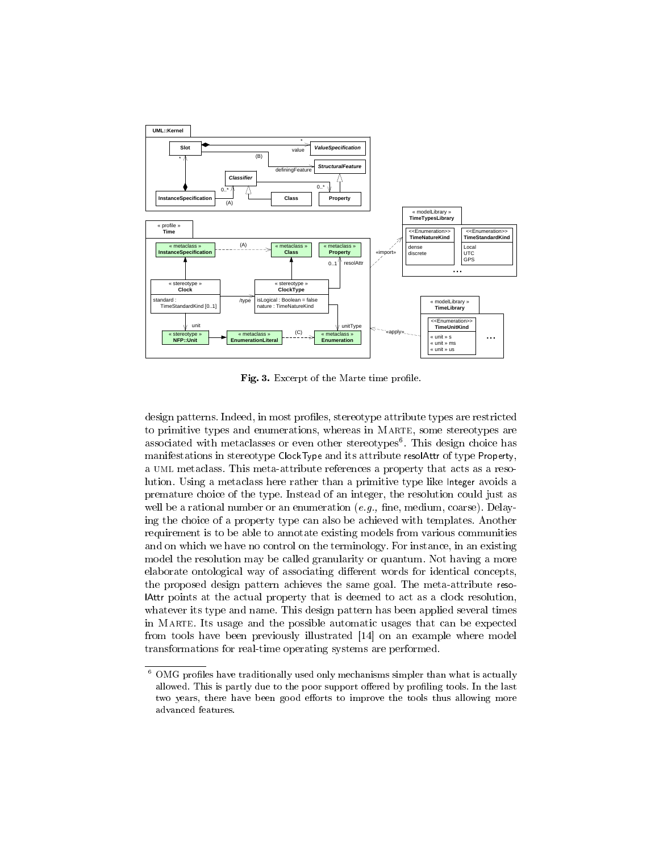

Fig. 3. Excerpt of the Marte time profile.

design patterns. Indeed, in most profiles, stereotype attribute types are restricted to primitive types and enumerations, whereas in Marte, some stereotypes are associated with metaclasses or even other stereotypes<sup>6</sup>. This design choice has manifestations in stereotype ClockType and its attribute resolAttr of type Property, a uml metaclass. This meta-attribute references a property that acts as a resolution. Using a metaclass here rather than a primitive type like Integer avoids a premature choice of the type. Instead of an integer, the resolution could just as well be a rational number or an enumeration (e.g., fine, medium, coarse). Delaying the choice of a property type can also be achieved with templates. Another requirement is to be able to annotate existing models from various communities and on which we have no control on the terminology. For instance, in an existing model the resolution may be called granularity or quantum. Not having a more elaborate ontological way of associating different words for identical concepts, the proposed design pattern achieves the same goal. The meta-attribute resolAttr points at the actual property that is deemed to act as a clock resolution, whatever its type and name. This design pattern has been applied several times in Marte. Its usage and the possible automatic usages that can be expected from tools have been previously illustrated [14] on an example where model transformations for real-time operating systems are performed.

 $6$  OMG profiles have traditionally used only mechanisms simpler than what is actually allowed. This is partly due to the poor support offered by profiling tools. In the last two years, there have been good efforts to improve the tools thus allowing more advanced features.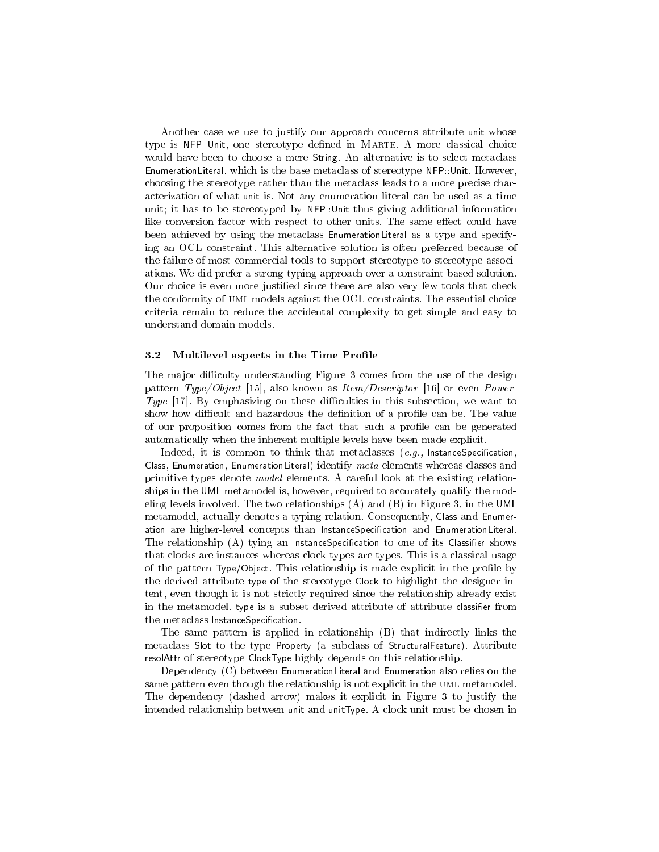Another case we use to justify our approach concerns attribute unit whose type is NFP:: Unit, one stereotype defined in MARTE. A more classical choice would have been to choose a mere String. An alternative is to select metaclass EnumerationLiteral, which is the base metaclass of stereotype NFP::Unit. However, choosing the stereotype rather than the metaclass leads to a more precise characterization of what unit is. Not any enumeration literal can be used as a time unit; it has to be stereotyped by NFP::Unit thus giving additional information like conversion factor with respect to other units. The same effect could have been achieved by using the metaclass EnumerationLiteral as a type and specifying an OCL constraint. This alternative solution is often preferred because of the failure of most commercial tools to support stereotype-to-stereotype associations. We did prefer a strong-typing approach over a constraint-based solution. Our choice is even more justified since there are also very few tools that check the conformity of uml models against the OCL constraints. The essential choice criteria remain to reduce the accidental complexity to get simple and easy to understand domain models.

#### 3.2 Multilevel aspects in the Time Profile

The major difficulty understanding Figure 3 comes from the use of the design pattern  $Type/Object$  [15], also known as *Item/Descriptor* [16] or even *Power-*Type  $[17]$ . By emphasizing on these difficulties in this subsection, we want to show how difficult and hazardous the definition of a profile can be. The value of our proposition comes from the fact that such a profile can be generated automatically when the inherent multiple levels have been made explicit.

Indeed, it is common to think that metaclasses  $(e.g.,$  InstanceSpecification, Class, Enumeration, EnumerationLiteral) identify meta elements whereas classes and primitive types denote model elements. A careful look at the existing relationships in the UML metamodel is, however, required to accurately qualify the modeling levels involved. The two relationships (A) and (B) in Figure 3, in the UML metamodel, actually denotes a typing relation. Consequently, Class and Enumeration are higher-level concepts than InstanceSpecification and EnumerationLiteral. The relationship  $(A)$  tying an InstanceSpecification to one of its Classifier shows that clocks are instances whereas clock types are types. This is a classical usage of the pattern Type/Object. This relationship is made explicit in the profile by the derived attribute type of the stereotype Clock to highlight the designer intent, even though it is not strictly required since the relationship already exist in the metamodel. type is a subset derived attribute of attribute classifier from the metaclass InstanceSpecification.

The same pattern is applied in relationship (B) that indirectly links the metaclass Slot to the type Property (a subclass of StructuralFeature). Attribute resolAttr of stereotype ClockType highly depends on this relationship.

Dependency (C) between EnumerationLiteral and Enumeration also relies on the same pattern even though the relationship is not explicit in the UML metamodel. The dependency (dashed arrow) makes it explicit in Figure 3 to justify the intended relationship between unit and unitType. A clock unit must be chosen in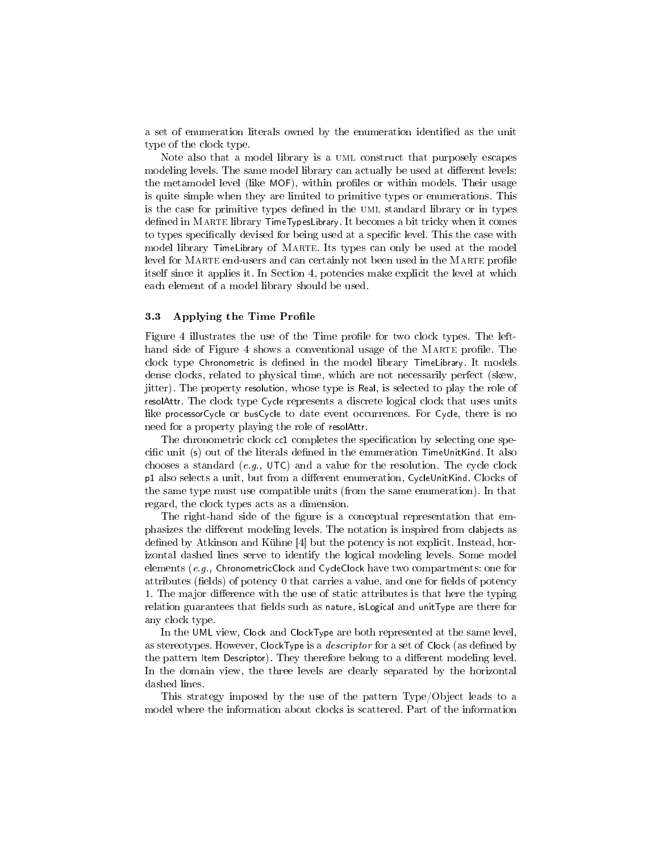a set of enumeration literals owned by the enumeration identified as the unit type of the clock type.

Note also that a model library is a uml construct that purposely escapes modeling levels. The same model library can actually be used at different levels: the metamodel level (like MOF), within profiles or within models. Their usage is quite simple when they are limited to primitive types or enumerations. This is the case for primitive types defined in the UML standard library or in types defined in MARTE library TimeTypesLibrary. It becomes a bit tricky when it comes to types specifically devised for being used at a specific level. This the case with model library TimeLibrary of MARTE. Its types can only be used at the model level for MARTE end-users and can certainly not been used in the MARTE profile itself since it applies it. In Section 4, potencies make explicit the level at which each element of a model library should be used.

#### 3.3 Applying the Time Profile

Figure 4 illustrates the use of the Time profile for two clock types. The lefthand side of Figure 4 shows a conventional usage of the MARTE profile. The clock type Chronometric is defined in the model library TimeLibrary. It models dense clocks, related to physical time, which are not necessarily perfect (skew, jitter). The property resolution, whose type is Real, is selected to play the role of resolAttr. The clock type Cycle represents a discrete logical clock that uses units like processorCycle or busCycle to date event occurrences. For Cycle, there is no need for a property playing the role of resolAttr.

The chronometric clock cc1 completes the specification by selecting one specific unit (s) out of the literals defined in the enumeration  $\mathsf{TimeUnitKind}$ . It also chooses a standard (e.g., UTC) and a value for the resolution. The cycle clock p1 also selects a unit, but from a different enumeration, CycleUnitKind. Clocks of the same type must use compatible units (from the same enumeration). In that regard, the clock types acts as a dimension.

The right-hand side of the figure is a conceptual representation that emphasizes the different modeling levels. The notation is inspired from clabjects as defined by Atkinson and Kühne  $[4]$  but the potency is not explicit. Instead, horizontal dashed lines serve to identify the logical modeling levels. Some model elements (e.g., ChronometricClock and CycleClock have two compartments: one for attributes (fields) of potency  $0$  that carries a value, and one for fields of potency 1. The major difference with the use of static attributes is that here the typing relation guarantees that fields such as nature, is Logical and unitType are there for any clock type.

In the UML view, Clock and ClockType are both represented at the same level, as stereotypes. However, ClockType is a *descriptor* for a set of Clock (as defined by the pattern Item Descriptor). They therefore belong to a different modeling level. In the domain view, the three levels are clearly separated by the horizontal dashed lines.

This strategy imposed by the use of the pattern Type/Object leads to a model where the information about clocks is scattered. Part of the information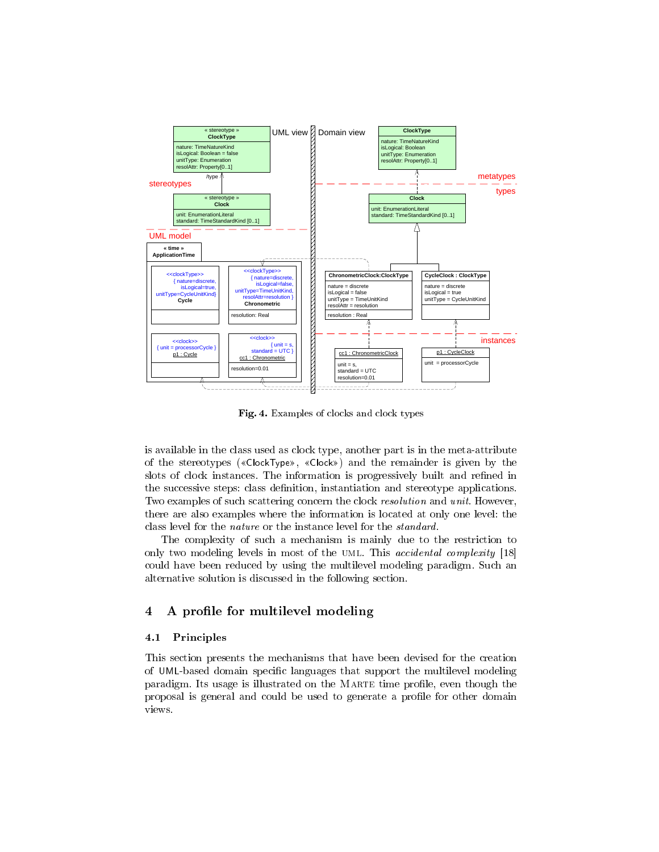

Fig. 4. Examples of clocks and clock types

is available in the class used as clock type, another part is in the meta-attribute of the stereotypes («ClockType», «Clock») and the remainder is given by the slots of clock instances. The information is progressively built and refined in the successive steps: class denition, instantiation and stereotype applications. Two examples of such scattering concern the clock resolution and unit. However, there are also examples where the information is located at only one level: the class level for the nature or the instance level for the standard.

The complexity of such a mechanism is mainly due to the restriction to only two modeling levels in most of the UML. This accidental complexity [18] could have been reduced by using the multilevel modeling paradigm. Such an alternative solution is discussed in the following section.

# 4 A profile for multilevel modeling

#### 4.1 Principles

This section presents the mechanisms that have been devised for the creation of UML-based domain specific languages that support the multilevel modeling paradigm. Its usage is illustrated on the MARTE time profile, even though the proposal is general and could be used to generate a profile for other domain views.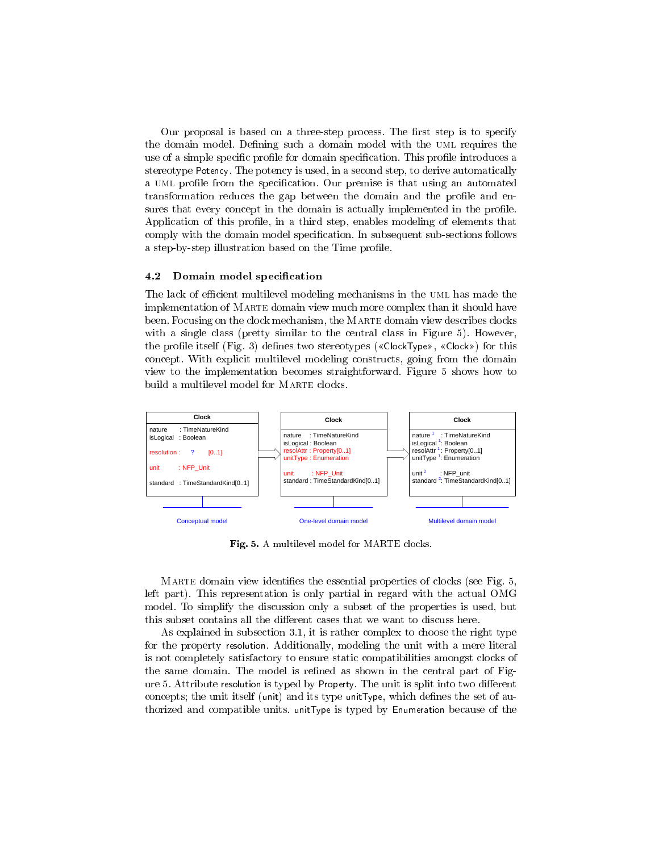Our proposal is based on a three-step process. The first step is to specify the domain model. Defining such a domain model with the UML requires the use of a simple specific profile for domain specification. This profile introduces a stereotype Potency. The potency is used, in a second step, to derive automatically a UML profile from the specification. Our premise is that using an automated transformation reduces the gap between the domain and the profile and ensures that every concept in the domain is actually implemented in the profile. Application of this profile, in a third step, enables modeling of elements that comply with the domain model specification. In subsequent sub-sections follows a step-by-step illustration based on the Time profile.

#### 4.2 Domain model specification

The lack of efficient multilevel modeling mechanisms in the UML has made the implementation of Marte domain view much more complex than it should have been. Focusing on the clock mechanism, the Marte domain view describes clocks with a single class (pretty similar to the central class in Figure 5). However, the profile itself (Fig. 3) defines two stereotypes («ClockType», «Clock») for this concept. With explicit multilevel modeling constructs, going from the domain view to the implementation becomes straightforward. Figure 5 shows how to build a multilevel model for MARTE clocks.



Fig. 5. A multilevel model for MARTE clocks.

MARTE domain view identifies the essential properties of clocks (see Fig. 5, left part). This representation is only partial in regard with the actual OMG model. To simplify the discussion only a subset of the properties is used, but this subset contains all the different cases that we want to discuss here.

As explained in subsection 3.1, it is rather complex to choose the right type for the property resolution. Additionally, modeling the unit with a mere literal is not completely satisfactory to ensure static compatibilities amongst clocks of the same domain. The model is refined as shown in the central part of Figure 5. Attribute resolution is typed by Property. The unit is split into two different concepts; the unit itself (unit) and its type unitType, which defines the set of authorized and compatible units. unitType is typed by Enumeration because of the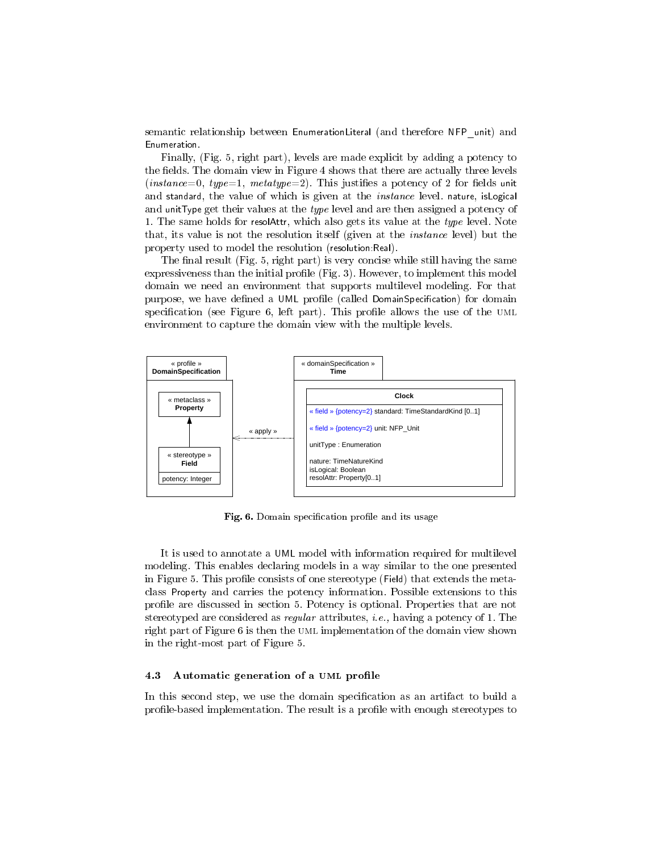semantic relationship between EnumerationLiteral (and therefore NFP\_unit) and Enumeration.

Finally, (Fig. 5, right part), levels are made explicit by adding a potency to the fields. The domain view in Figure 4 shows that there are actually three levels (*instance*=0, *type*=1, *metatype*=2). This justifies a potency of 2 for fields unit and standard, the value of which is given at the instance level. nature, isLogical and unitType get their values at the type level and are then assigned a potency of 1. The same holds for resolAttr, which also gets its value at the type level. Note that, its value is not the resolution itself (given at the instance level) but the property used to model the resolution (resolution:Real).

The final result (Fig. 5, right part) is very concise while still having the same expressiveness than the initial profile (Fig. 3). However, to implement this model domain we need an environment that supports multilevel modeling. For that purpose, we have defined a UML profile (called DomainSpecification) for domain specification (see Figure 6, left part). This profile allows the use of the UML environment to capture the domain view with the multiple levels.



Fig. 6. Domain specification profile and its usage

It is used to annotate a UML model with information required for multilevel modeling. This enables declaring models in a way similar to the one presented in Figure 5. This profile consists of one stereotype (Field) that extends the metaclass Property and carries the potency information. Possible extensions to this profile are discussed in section 5. Potency is optional. Properties that are not stereotyped are considered as *regular* attributes, *i.e.*, having a potency of 1. The right part of Figure 6 is then the uml implementation of the domain view shown in the right-most part of Figure 5.

#### 4.3 Automatic generation of a UML profile

In this second step, we use the domain specification as an artifact to build a profile-based implementation. The result is a profile with enough stereotypes to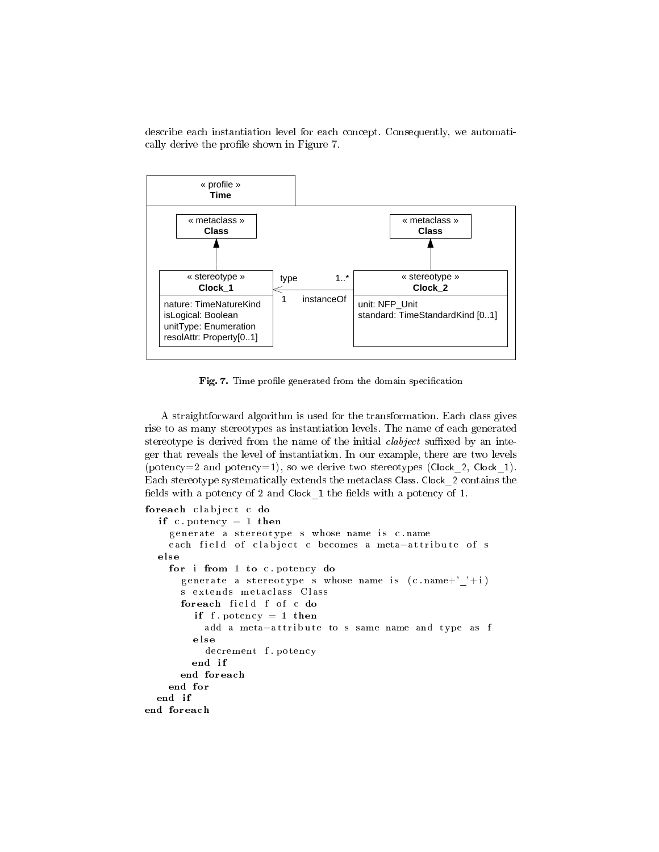describe each instantiation level for each concept. Consequently, we automatically derive the profile shown in Figure 7.



Fig. 7. Time profile generated from the domain specification

A straightforward algorithm is used for the transformation. Each class gives rise to as many stereotypes as instantiation levels. The name of each generated stereotype is derived from the name of the initial *clabject* suffixed by an integer that reveals the level of instantiation. In our example, there are two levels (potency=2 and potency=1), so we derive two stereotypes (Clock 2, Clock 1). Each stereotype systematically extends the metaclass Class. Clock\_2 contains the fields with a potency of 2 and  $C$ lock 1 the fields with a potency of 1.

```
foreach clabject c do
  if c.potency = 1 thengenerate a stereotype s whose name is c.name
    each field of clabject c becomes a meta-attribute of s
  e l s e
    for i from 1 to c .potency do
      generate a stereotype s whose name is (c \ name +' ' + i )s extends metaclass Class
      foreach field f of c do
        if f potency = 1 then
          add a meta-attribute to s same name and type as f
        e l s e
          decrement f. potency
        end if
      end foreach
    end for
  end i f
end foreach
```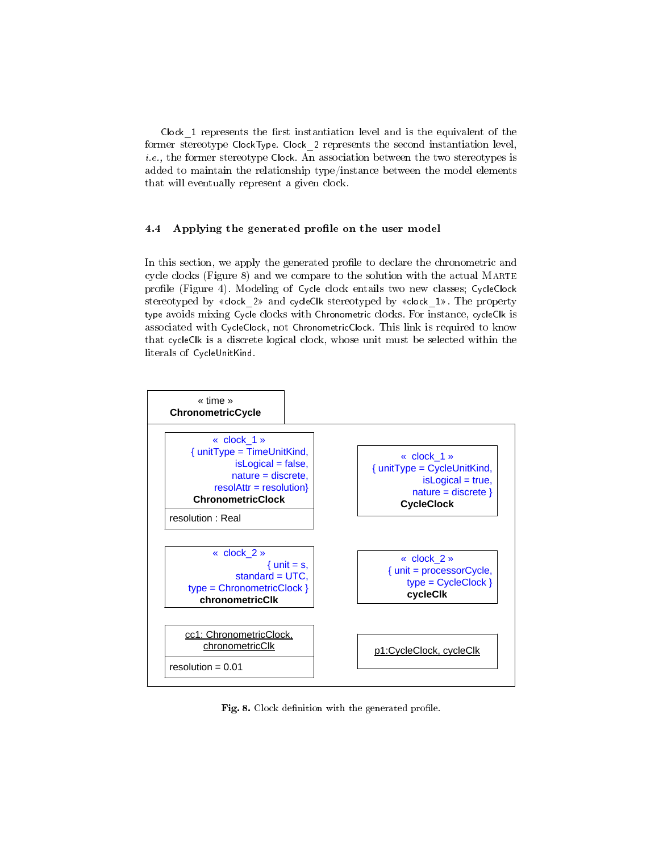Clock 1 represents the first instantiation level and is the equivalent of the former stereotype ClockType. Clock 2 represents the second instantiation level, i.e., the former stereotype Clock. An association between the two stereotypes is added to maintain the relationship type/instance between the model elements that will eventually represent a given clock.

### 4.4 Applying the generated profile on the user model

In this section, we apply the generated profile to declare the chronometric and cycle clocks (Figure 8) and we compare to the solution with the actual MARTE profile (Figure 4). Modeling of Cycle clock entails two new classes; CycleClock stereotyped by «clock\_2» and cycleClk stereotyped by «clock\_1». The property type avoids mixing Cycle clocks with Chronometric clocks. For instance, cycleClk is associated with CycleClock, not ChronometricClock. This link is required to know that cycleClk is a discrete logical clock, whose unit must be selected within the literals of CycleUnitKind.



Fig. 8. Clock definition with the generated profile.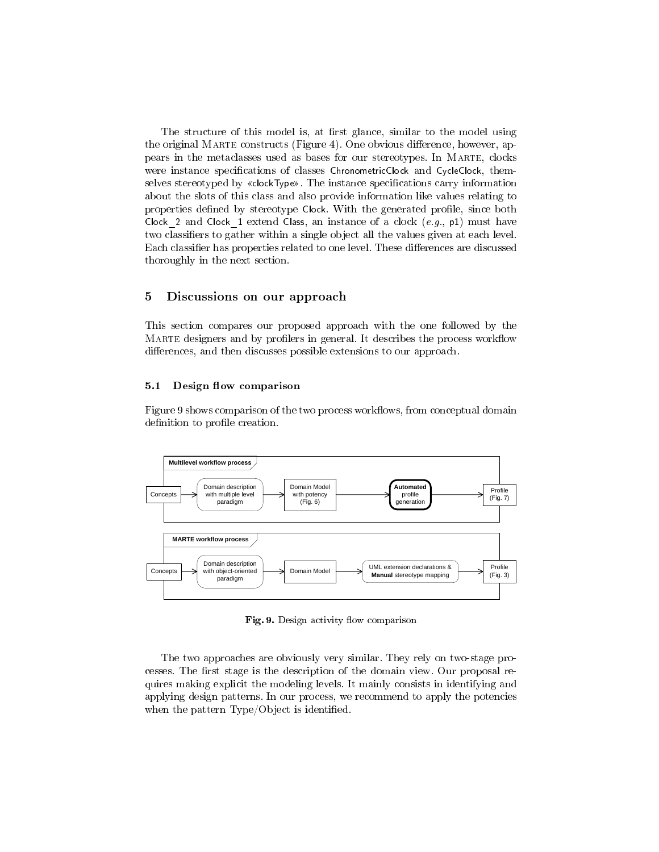The structure of this model is, at first glance, similar to the model using the original MARTE constructs (Figure 4). One obvious difference, however, appears in the metaclasses used as bases for our stereotypes. In Marte, clocks were instance specifications of classes ChronometricClock and CycleClock, themselves stereotyped by «clockType». The instance specifications carry information about the slots of this class and also provide information like values relating to properties defined by stereotype Clock. With the generated profile, since both Clock 2 and Clock 1 extend Class, an instance of a clock  $(e.g., p1)$  must have two classifiers to gather within a single object all the values given at each level. Each classifier has properties related to one level. These differences are discussed thoroughly in the next section.

## 5 Discussions on our approach

This section compares our proposed approach with the one followed by the MARTE designers and by profilers in general. It describes the process workflow differences, and then discusses possible extensions to our approach.

#### 5.1 Design flow comparison

Figure 9 shows comparison of the two process workflows, from conceptual domain definition to profile creation.



Fig. 9. Design activity flow comparison

The two approaches are obviously very similar. They rely on two-stage processes. The first stage is the description of the domain view. Our proposal requires making explicit the modeling levels. It mainly consists in identifying and applying design patterns. In our process, we recommend to apply the potencies when the pattern  $Type/Object$  is identified.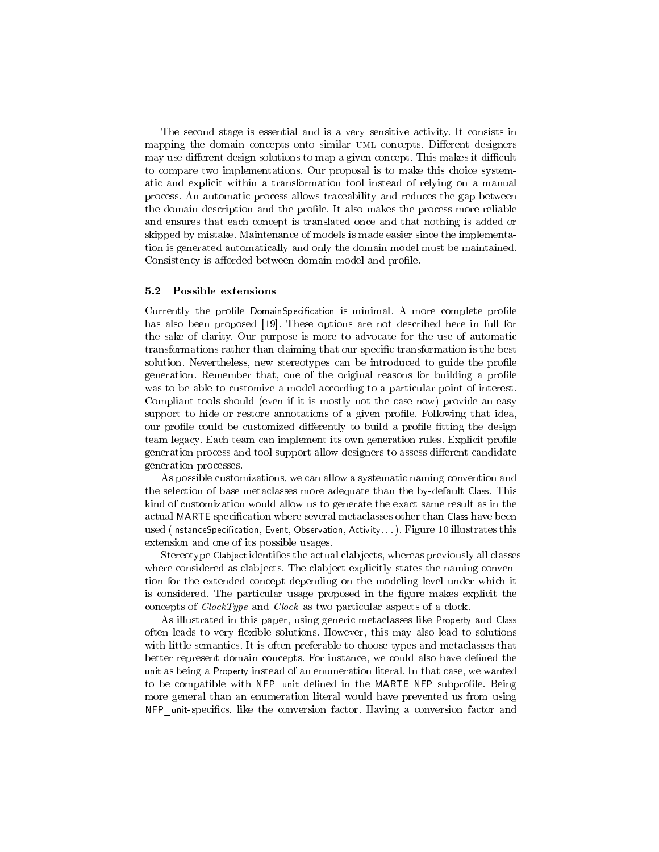The second stage is essential and is a very sensitive activity. It consists in mapping the domain concepts onto similar UML concepts. Different designers may use different design solutions to map a given concept. This makes it difficult to compare two implementations. Our proposal is to make this choice systematic and explicit within a transformation tool instead of relying on a manual process. An automatic process allows traceability and reduces the gap between the domain description and the profile. It also makes the process more reliable and ensures that each concept is translated once and that nothing is added or skipped by mistake. Maintenance of models is made easier since the implementation is generated automatically and only the domain model must be maintained. Consistency is afforded between domain model and profile.

#### 5.2 Possible extensions

Currently the profile DomainSpecification is minimal. A more complete profile has also been proposed [19]. These options are not described here in full for the sake of clarity. Our purpose is more to advocate for the use of automatic transformations rather than claiming that our specific transformation is the best solution. Nevertheless, new stereotypes can be introduced to guide the profile generation. Remember that, one of the original reasons for building a profile was to be able to customize a model according to a particular point of interest. Compliant tools should (even if it is mostly not the case now) provide an easy support to hide or restore annotations of a given profile. Following that idea, our profile could be customized differently to build a profile fitting the design team legacy. Each team can implement its own generation rules. Explicit profile generation process and tool support allow designers to assess different candidate generation processes.

As possible customizations, we can allow a systematic naming convention and the selection of base metaclasses more adequate than the by-default Class. This kind of customization would allow us to generate the exact same result as in the actual MARTE specification where several metaclasses other than Class have been used (InstanceSpecification, Event, Observation, Activity...). Figure 10 illustrates this extension and one of its possible usages.

Stereotype Clabject identifies the actual clabjects, whereas previously all classes where considered as clabjects. The clabject explicitly states the naming convention for the extended concept depending on the modeling level under which it is considered. The particular usage proposed in the figure makes explicit the concepts of ClockType and Clock as two particular aspects of a clock.

As illustrated in this paper, using generic metaclasses like Property and Class often leads to very flexible solutions. However, this may also lead to solutions with little semantics. It is often preferable to choose types and metaclasses that better represent domain concepts. For instance, we could also have defined the unit as being a Property instead of an enumeration literal. In that case, we wanted to be compatible with NFP unit defined in the MARTE NFP subprofile. Being more general than an enumeration literal would have prevented us from using NFP unit-specifics, like the conversion factor. Having a conversion factor and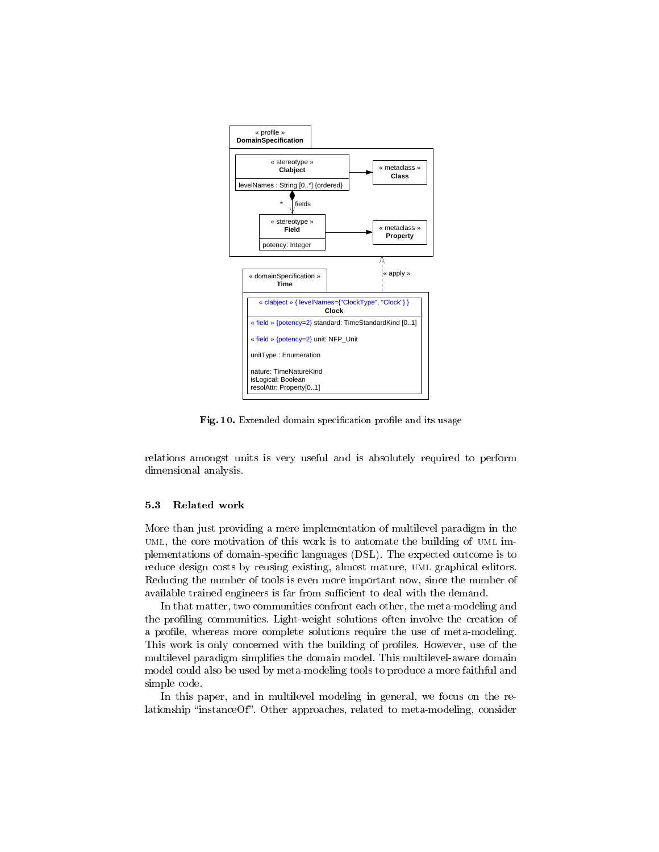

Fig. 10. Extended domain specification profile and its usage

relations amongst units is very useful and is absolutely required to perform dimensional analysis.

#### 5.3 Related work

More than just providing a mere implementation of multilevel paradigm in the uml, the core motivation of this work is to automate the building of uml implementations of domain-specific languages (DSL). The expected outcome is to reduce design costs by reusing existing, almost mature, UML graphical editors. Reducing the number of tools is even more important now, since the number of available trained engineers is far from sufficient to deal with the demand.

In that matter, two communities confront each other, the meta-modeling and the profiling communities. Light-weight solutions often involve the creation of a profile, whereas more complete solutions require the use of meta-modeling. This work is only concerned with the building of profiles. However, use of the multilevel paradigm simplifies the domain model. This multilevel-aware domain model could also be used by meta-modeling tools to produce a more faithful and simple code.

In this paper, and in multilevel modeling in general, we focus on the relationship "instanceOf". Other approaches, related to meta-modeling, consider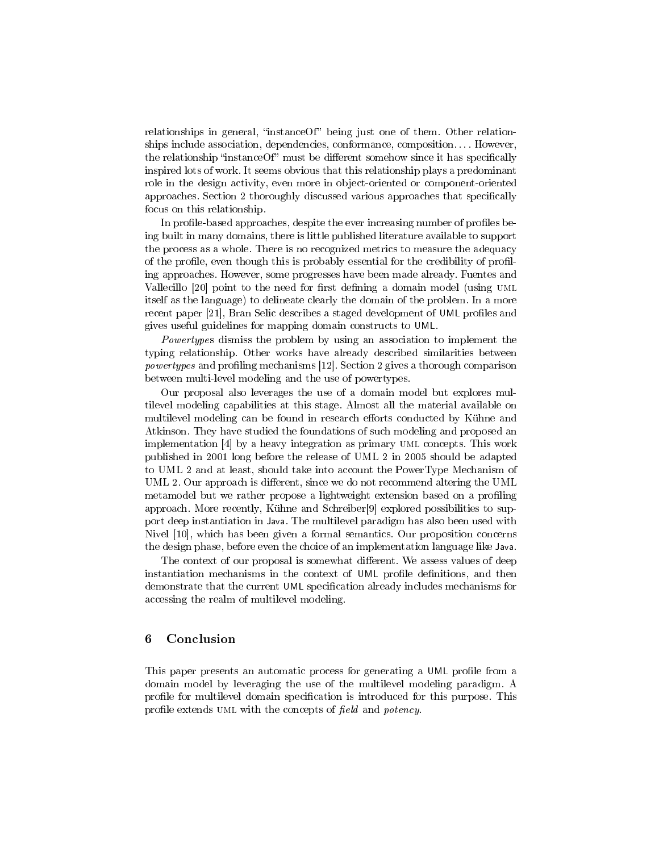relationships in general, "instance Of" being just one of them. Other relationships include association, dependencies, conformance, composition. . . . However, the relationship "instance  $\overline{Of}$ " must be different somehow since it has specifically inspired lots of work. It seems obvious that this relationship plays a predominant role in the design activity, even more in object-oriented or component-oriented approaches. Section 2 thoroughly discussed various approaches that specifically focus on this relationship.

In profile-based approaches, despite the ever increasing number of profiles being built in many domains, there is little published literature available to support the process as a whole. There is no recognized metrics to measure the adequacy of the profile, even though this is probably essential for the credibility of profiling approaches. However, some progresses have been made already. Fuentes and Vallecillo [20] point to the need for first defining a domain model (using UML itself as the language) to delineate clearly the domain of the problem. In a more recent paper [21], Bran Selic describes a staged development of UML profiles and gives useful guidelines for mapping domain constructs to UML.

Powertypes dismiss the problem by using an association to implement the typing relationship. Other works have already described similarities between powertypes and profiling mechanisms [12]. Section 2 gives a thorough comparison between multi-level modeling and the use of powertypes.

Our proposal also leverages the use of a domain model but explores multilevel modeling capabilities at this stage. Almost all the material available on multilevel modeling can be found in research efforts conducted by Kühne and Atkinson. They have studied the foundations of such modeling and proposed an implementation [4] by a heavy integration as primary uml concepts. This work published in 2001 long before the release of UML 2 in 2005 should be adapted to UML 2 and at least, should take into account the PowerType Mechanism of UML 2. Our approach is different, since we do not recommend altering the UML metamodel but we rather propose a lightweight extension based on a profiling approach. More recently, Kühne and Schreiber[9] explored possibilities to support deep instantiation in Java. The multilevel paradigm has also been used with Nivel [10], which has been given a formal semantics. Our proposition concerns the design phase, before even the choice of an implementation language like Java.

The context of our proposal is somewhat different. We assess values of deep instantiation mechanisms in the context of UML profile definitions, and then demonstrate that the current UML specification already includes mechanisms for accessing the realm of multilevel modeling.

# 6 Conclusion

This paper presents an automatic process for generating a UML profile from a domain model by leveraging the use of the multilevel modeling paradigm. A profile for multilevel domain specification is introduced for this purpose. This profile extends UML with the concepts of field and potency.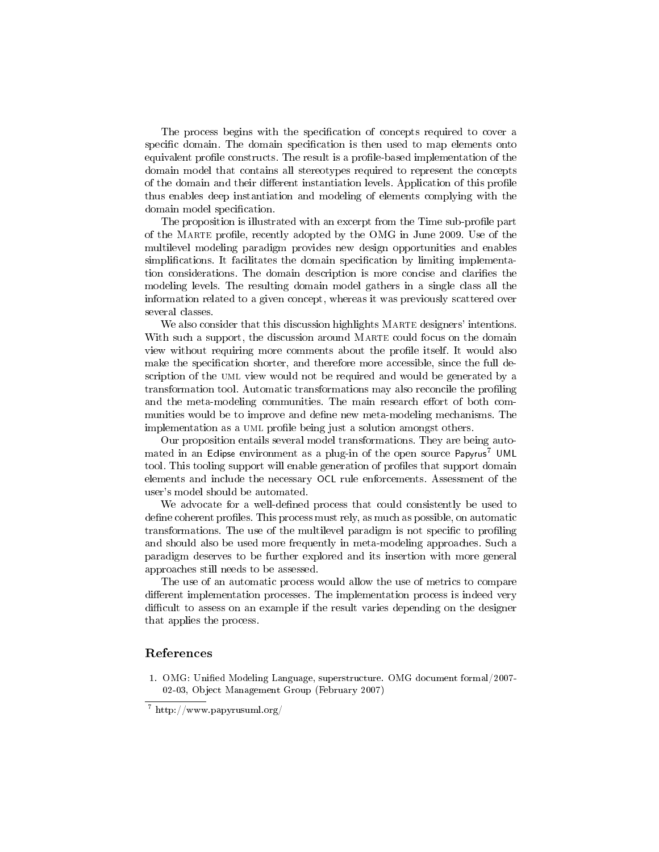The process begins with the specification of concepts required to cover a specific domain. The domain specification is then used to map elements onto equivalent profile constructs. The result is a profile-based implementation of the domain model that contains all stereotypes required to represent the concepts of the domain and their different instantiation levels. Application of this profile thus enables deep instantiation and modeling of elements complying with the domain model specification.

The proposition is illustrated with an excerpt from the Time sub-profile part of the Marte prole, recently adopted by the OMG in June 2009. Use of the multilevel modeling paradigm provides new design opportunities and enables simplifications. It facilitates the domain specification by limiting implementation considerations. The domain description is more concise and clarifies the modeling levels. The resulting domain model gathers in a single class all the information related to a given concept, whereas it was previously scattered over several classes.

We also consider that this discussion highlights MARTE designers' intentions. With such a support, the discussion around MARTE could focus on the domain view without requiring more comments about the profile itself. It would also make the specification shorter, and therefore more accessible, since the full description of the uml view would not be required and would be generated by a transformation tool. Automatic transformations may also reconcile the profiling and the meta-modeling communities. The main research effort of both communities would be to improve and define new meta-modeling mechanisms. The implementation as a UML profile being just a solution amongst others.

Our proposition entails several model transformations. They are being automated in an Eclipse environment as a plug-in of the open source Papyrus<sup>7</sup> UML tool. This tooling support will enable generation of profiles that support domain elements and include the necessary OCL rule enforcements. Assessment of the user's model should be automated.

We advocate for a well-defined process that could consistently be used to define coherent profiles. This process must rely, as much as possible, on automatic transformations. The use of the multilevel paradigm is not specific to profiling and should also be used more frequently in meta-modeling approaches. Such a paradigm deserves to be further explored and its insertion with more general approaches still needs to be assessed.

The use of an automatic process would allow the use of metrics to compare different implementation processes. The implementation process is indeed very difficult to assess on an example if the result varies depending on the designer that applies the process.

# References

1. OMG: Unified Modeling Language, superstructure. OMG document formal/2007-02-03, Object Management Group (February 2007)

<sup>7</sup> http://www.papyrusuml.org/